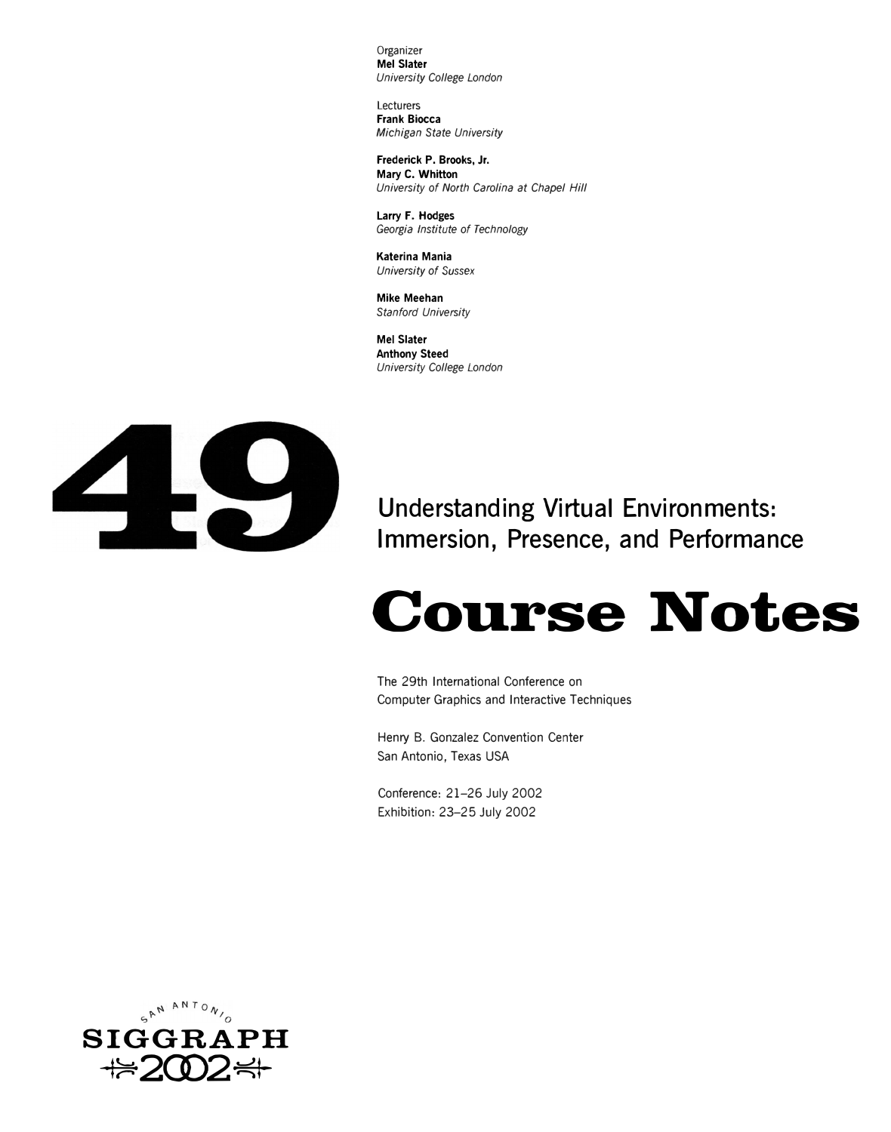Organizer **Mel Slater**  *University College London* 

Lecturers **Frank Biocca**  *Michigan State University* 

**Frederick P. Brooks, Jr. Mary C. Whitton**  *University of North Carolina at Chapel Hill* 

**Larry F. Hodges**  *Georgia Institute of Technology* 

**Katerina Mania**  *University of* Sussex

**Mike Meehan**  *Stanford University* 

**Mel Slater Anthony Steed**  *University College London* 



**Understanding Virtual Environments: Immersion, Presence, and Performance** 

# **Course Notes**

The 29th International Conference on Computer Graphics and Interactive Techniques

Henry B. Gonzalez Convention Center San Antonio, Texas USA

Conference: 21-26 July 2002 Exhibition: 23-25 July 2002

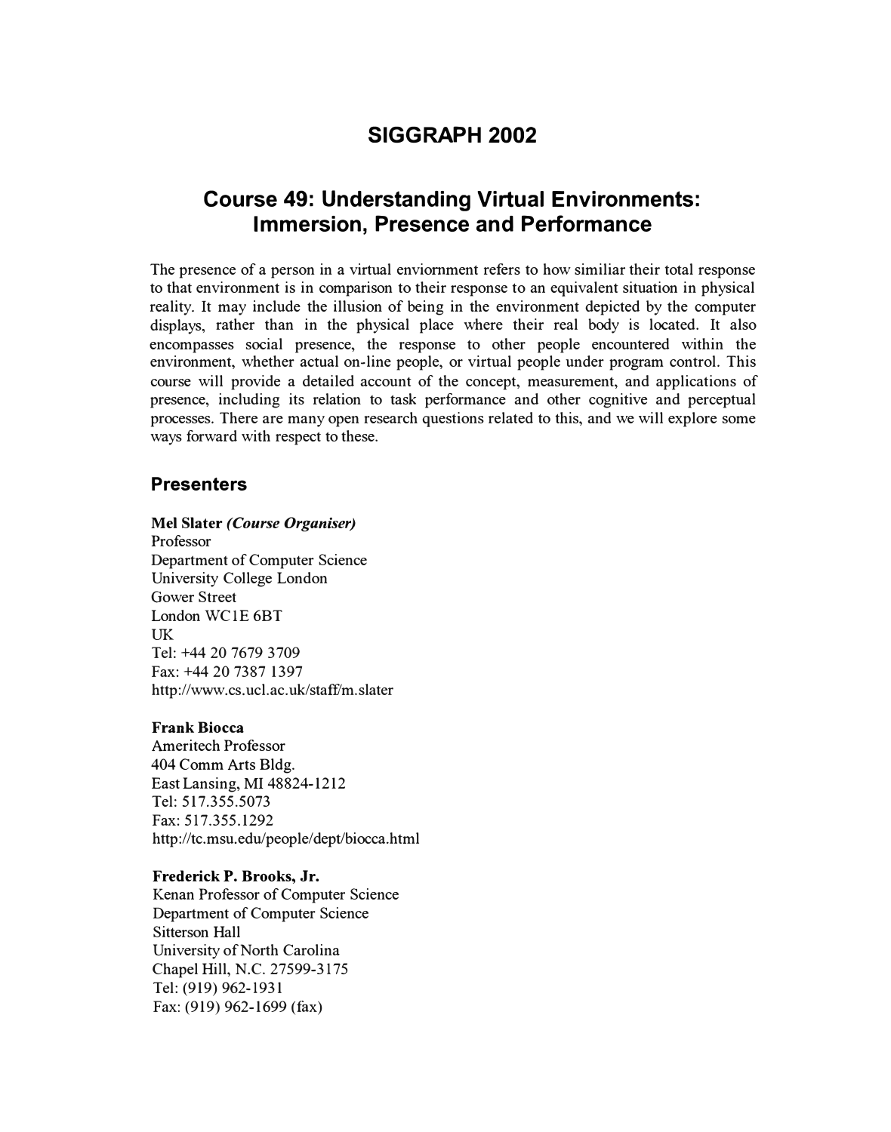# **SIGGRAPH 2002**

# **Course 49: Understanding Virtual Environments: Immersion, Presence and Performance**

The presence of a person in a virtual enviomment refers to how similiar their total response to that environment is in comparison to their response to an equivalent situation in physical reality. It may include the illusion of being in the environment depicted by the computer displays, rather than in the physical place where their real body is located. It also encompasses social presence, the response to other people encountered within the environment, whether actual on-line people, or virtual people under program control. This course will provide a detailed account of the concept, measurement, and applications of presence, including its relation to task performance and other cognitive and perceptual processes. There are many open research questions related to this, and we will explore some ways forward with respect to these.

## **Presenters**

#### **Mel Slater** *(Course Organiser)*

Professor Department of Computer Science University College London Gower Street London WClE 6BT UK Tel: +44 20 7679 3709 Fax: +44 20 7387 1397 http://www.cs.ucl.ac.uk/staff/m.slater

#### **Frank Biocca**

Ameritech Professor 404 Comm Arts Bldg. East Lansing, MI 48824-1212 Tel: 517.355.5073 Fax: 517.355.1292 http://tc.msu.edu/people/dept/biocca.html

#### **Frederick P. Brooks, Jr.**

Kenan Professor of Computer Science Department of Computer Science Sitterson Hall University of North Carolina Chapel Hill, N.C. 27599-3175 Tel: (919) 962-1931 Fax: (919) 962-1699 (fax)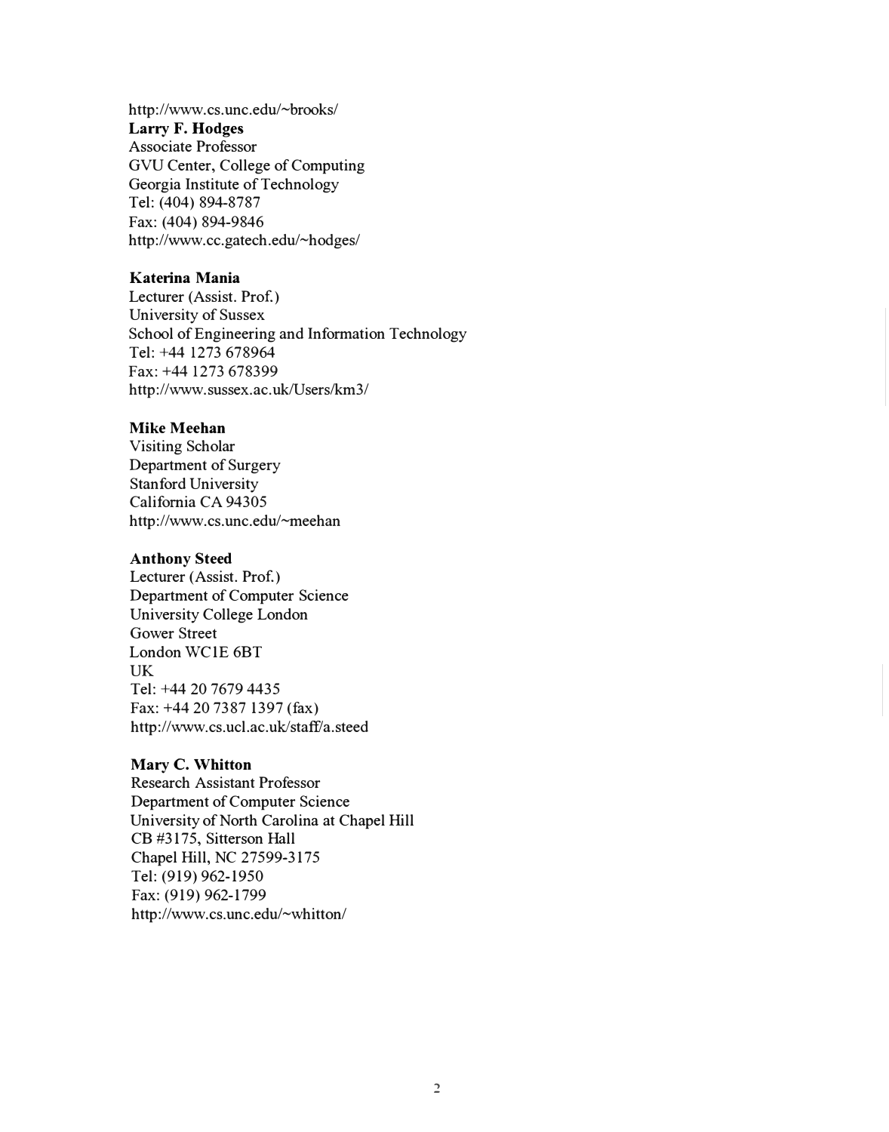http://www.cs.unc.edu/~brooks/ **Larry F. Hodges**  Associate Professor GVU Center, College of Computing Georgia Institute of Technology Tel: (404) 894-8787 Fax: (404) 894-9846 http://www.cc.gatech.edu/~hodges/

## **Katerina Mania**

Lecturer (Assist. Prof.) University of Sussex School of Engineering and Information Technology Tel: +44 1273 678964 Fax: +44 1273 678399 http://www.sussex.ac.uk/Users/km3/

#### **Mike Meehan**

Visiting Scholar Department of Surgery Stanford University California CA 94305 http://www.cs.unc.edu/~meehan

#### **Anthony Steed**

Lecturer (Assist. Prof.) Department of Computer Science University College London Gower Street London WC 1E 6BT UK Tel: +44 20 7679 4435 Fax: +44 20 7387 1397 (fax) http://www.cs.ucl.ac.uk/staff/a.steed

#### **Mary C. Whitton**

Research Assistant Professor Department of Computer Science University of North Carolina at Chapel Hill CB #3175, Sitterson Hall Chapel Hill, NC 27599-3175 Tel: (919) 962-1950 Fax: (919) 962-1799 http://www.cs.unc.edu/~whitton/